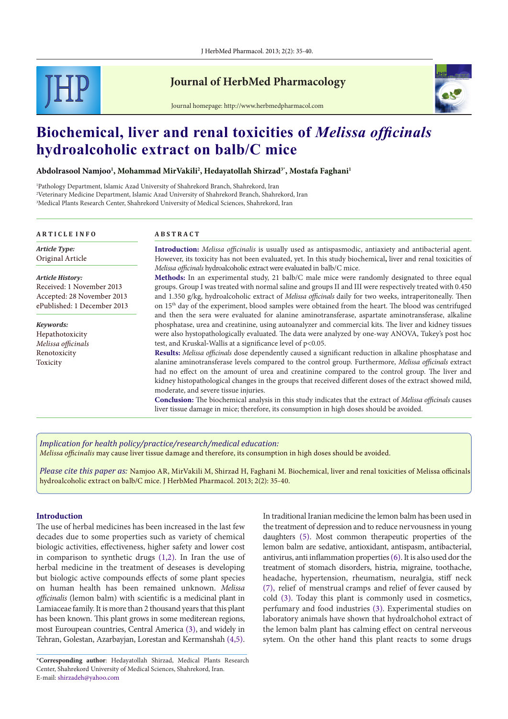

# **Journal of HerbMed Pharmacology**

Journal homepage: http://www.herbmedpharmacol.com



# **Biochemical, liver and renal toxicities of** *Melissa officinals*  **hydroalcoholic extract on balb/C mice**

**Abdolrasool Namjoo1 , Mohammad MirVakili2 , Hedayatollah Shirzad3\*, Mostafa Faghani1**

1 Pathology Department, Islamic Azad University of Shahrekord Branch, Shahrekord, Iran 2 Veterinary Medicine Department, Islamic Azad University of Shahrekord Branch, Shahrekord, Iran 3 Medical Plants Research Center, Shahrekord University of Medical Sciences, Shahrekord, Iran

#### **A R T I C L E I N F O A B S T R A C T**

**Introduction:** *Melissa officinalis* is usually used as antispasmodic, antiaxiety and antibacterial agent. However, its toxicity has not been evaluated, yet. In this study biochemical**,** liver and renal toxicities of *Melissa officinals* hydroalcoholic extract were evaluated in balb/C mice. **Methods:** In an experimental study, 21 balb/C male mice were randomly designated to three equal groups. Group I was treated with normal saline and groups II and III were respectively treated with 0.450 and 1.350 g/kg, hydroalcoholic extract of *Melissa officinals* daily for two weeks, intraperitoneally. Then on 15th day of the experiment, blood samples were obtained from the heart. The blood was centrifuged and then the sera were evaluated for alanine aminotransferase, aspartate aminotransferase, alkaline phosphatase, urea and creatinine, using autoanalyzer and commercial kits. The liver and kidney tissues were also hystopathologically evaluated. The data were analyzed by one-way ANOVA, Tukey's post hoc test, and Kruskal**-**Wallis at a significance level of p<0.05. **Results:** *Melissa officinals* dose dependently caused a significant reduction in alkaline phosphatase and alanine aminotransferase levels compared to the control group. Furthermore, *Melissa officinals* extract had no effect on the amount of urea and creatinine compared to the control group. The liver and kidney histopathological changes in the groups that received different doses of the extract showed mild, moderate, and severe tissue injuries. *Keywords:* Hepathotoxicity *Melissa officinals* Renotoxicity Toxicity *Article History:* Received: 1 November 2013 Accepted: 28 November 2013 ePublished: 1 December 2013 *Article Type:* Original Article

> **Conclusion:** The biochemical analysis in this study indicates that the extract of *Melissa officinals* causes liver tissue damage in mice; therefore, its consumption in high doses should be avoided.

*Implication for health policy/practice/research/medical education:*

*Melissa officinalis* may cause liver tissue damage and therefore, its consumption in high doses should be avoided.

*Please cite this paper as:* Namjoo AR, MirVakili M, Shirzad H, Faghani M. Biochemical, liver and renal toxicities of Melissa officinals hydroalcoholic extract on balb/C mice. J HerbMed Pharmacol. 2013; 2(2): 35-40.

# **Introduction**

The use of herbal medicines has been increased in the last few decades due to some properties such as variety of chemical biologic activities, effectiveness, higher safety and lower cost in comparison to synthetic drugs [\(1](#page-4-0)[,2](#page-4-1)). In Iran the use of herbal medicine in the treatment of deseases is developing but biologic active compounds effects of some plant species on human health has been remained unknown. *Melissa officinalis* (lemon balm) with scientific is a medicinal plant in Lamiaceae family. It is more than 2 thousand years that this plant has been known. This plant grows in some mediterean regions, most Euroupean countries, Central America [\(3\)](#page-4-2), and widely in Tehran, Golestan, Azarbayjan, Lorestan and Kermanshah [\(4](#page-4-3)[,5](#page-4-4)). In traditional Iranian medicine the lemon balm has been used in the treatment of depression and to reduce nervousness in young daughters ([5](#page-4-4)). Most common therapeutic properties of the lemon balm are sedative, antioxidant, antispasm, antibacterial, antivirus, anti inflammation properties [\(6](#page-4-5)). It is also used dor the treatment of stomach disorders, histria, migraine, toothache, headache, hypertension, rheumatism, neuralgia, stiff neck ([7\)](#page-4-6), relief of menstrual cramps and relief of fever caused by cold ([3\)](#page-4-2). Today this plant is commonly used in cosmetics, perfumary and food industries [\(3](#page-4-2)). Experimental studies on laboratory animals have shown that hydroalchohol extract of the lemon balm plant has calming effect on central nerveous sytem. On the other hand this plant reacts to some drugs

<sup>\*</sup>**Corresponding author**: Hedayatollah Shirzad, Medical Plants Research Center, Shahrekord University of Medical Sciences, Shahrekord, Iran. E-mail: shirzadeh@yahoo.com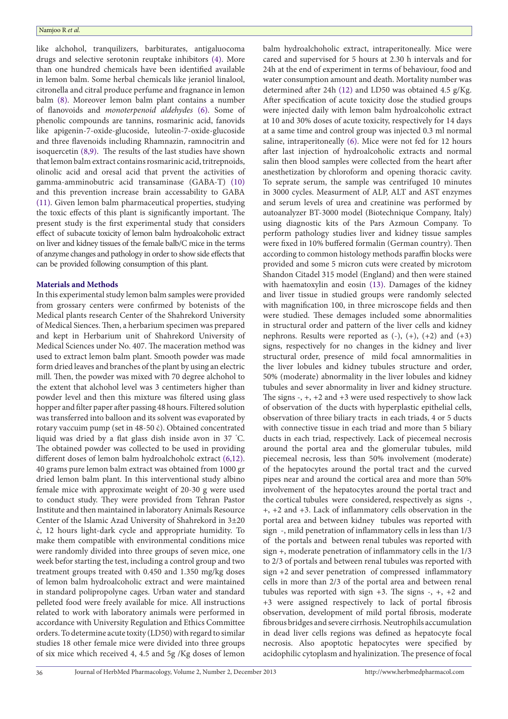like alchohol, tranquilizers, barbiturates, antigaluocoma drugs and selective serotonin reuptake [inhibitors](http://www.google.com/url?sa=t&rct=j&q=&esrc=s&source=web&cd=2&ved=0CDUQFjAB&url=http%3A%2F%2Fwww.mayoclinic.com%2Fhealth%2Fssris%2FMH00066&ei=oYBCUsaPEJbb4AOFqIC4Cg&usg=AFQjCNHFU0UQfJ7_iIiCuR-x8XKBTI9EIg&bvm=bv.53077864,d.dmg) [\(4](#page-4-3)). More than one hundred chemicals have been identified available in lemon balm. Some herbal chemicals like jeraniol linalool, citronella and citral produce perfume and fragnance in lemon balm ([8](#page-4-7)). Moreover lemon balm plant contains a number of flanovoids and *monoterpenoid aldehydes* [\(6\)](#page-4-5). Some of phenolic compounds are tannins, rosmarinic acid, fanovids like apigenin-7-oxide-glucoside, luteolin-7-oxide-glucoside and three flavenoids including Rhamnazin, ramnocitrin and isoquercetin [\(8](#page-4-7)[,9\)](#page-4-8). The results of the last studies have shown that lemon balm extract contains rosmarinic acid, tritrepnoids, olinolic acid and oresal acid that prvent the activities of gamma-amminobutric acid transaminase (GABA-T) [\(10\)](#page-4-9) and this prevention increase brain accessability to GABA ([11\)](#page-4-10). Given lemon balm pharmaceutical properties, studying the toxic effects of this plant is significantly important. The present study is the first experimental study that considers effect of subacute toxicity of lemon balm hydroalcoholic extract on liver and kidney tissues of the female balb/C mice in the terms of anzyme changes and pathology in order to show side effects that can be provided following consumption of this plant.

# **Materials and Methods**

In this experimental study lemon balm samples were provided from grossary centers were confirmed by botenists of the Medical plants research Center of the Shahrekord University of Medical Siences. Then, a herbarium specimen was prepared and kept in Herbarium unit of Shahrekord University of Medical Sciences under No. 407. The maceration method was used to extract lemon balm plant. Smooth powder was made form dried leaves and branches of the plant by using an electric mill. Then, the powder was mixed with 70 degree alchohol to the extent that alchohol level was 3 centimeters higher than powder level and then this mixture was filtered using glass hopper and filter paper after passing 48 hours. Filtered solution was transferred into balloon and its solvent was evaporated by rotary vaccuim pump (set in 48-50 ċ). Obtained concentrated liquid was dried by a flat glass dish inside avon in 37 ° C. The obtained powder was collected to be used in providing different doses of lemon balm hydroalchoholc extract ([6](#page-4-5),[12](#page-5-0)). 40 grams pure lemon balm extract was obtained from 1000 gr dried lemon balm plant. In this interventional study albino female mice with approximate weight of 20-30 g were used to conduct study. They were provided from Tehran Pastor Institute and then maintained in laboratory Animals Resource Center of the Islamic Azad University of Shahrekord in 3±20 ċ, 12 hours light-dark cycle and appropriate humidity. To make them compatible with environmental conditions mice were randomly divided into three groups of seven mice, one week befor starting the test, including a control group and two treatment groups treated with 0.450 and 1.350 mg/kg doses of lemon balm hydroalcoholic extract and were maintained in standard polipropolyne cages. Urban water and standard pelleted food were freely available for mice. All instructions related to work with laboratory animals were performed in accordance with University Regulation and Ethics Committee orders. To determine acute toxity (LD50) with regard to similar studies 18 other female mice were divided into three groups of six mice which received 4, 4.5 and 5g /Kg doses of lemon

balm hydroalchoholic extract, intraperitoneally. Mice were cared and supervised for 5 hours at 2.30 h intervals and for 24h at the end of experiment in terms of behaviour, food and water consumption amount and death. Mortality number was determined after 24h [\(12](#page-5-0)) and LD50 was obtained 4.5 g/Kg. After specification of acute toxicity dose the studied groups were injected daily with lemon balm hydroalcoholic extract at 10 and 30% doses of acute toxicity, respectively for 14 days at a same time and control group was injected 0.3 ml normal saline, intraperitoneally [\(6](#page-4-5)). Mice were not fed for 12 hours after last injection of hydroalcoholic extracts and normal salin then blood samples were collected from the heart after anesthetization by chloroform and opening thoracic cavity. To seprate serum, the sample was centrifuged 10 minutes in 3000 cycles. Measurment of ALP, ALT and AST enzymes and serum levels of urea and creatinine was performed by autoanalyzer BT-3000 model (Biotechnique Company, Italy) using diagnostic kits of the Pars Azmoun Company. To perform pathology studies liver and kidney tissue samples were fixed in 10% buffered formalin (German country). Then according to common histology methods paraffin blocks were provided and some 5 micron cuts were created by microtom Shandon Citadel 315 model (England) and then were stained with haematoxylin and eosin ([13](#page-5-1)). Damages of the kidney and liver tissue in studied groups were randomly selected with magnification 100, in three microscope fields and then were studied. These demages included some abnormalities in structural order and pattern of the liver cells and kidney nephrons. Results were reported as  $(-)$ ,  $(+)$ ,  $(+2)$  and  $(+3)$ signs, respectively for no changes in the kidney and liver structural order, presence of mild focal amnormalities in the liver lobules and kidney tubules structure and order, 50% (moderate) abnormality in the liver lobules and kidney tubules and sever abnormality in liver and kidney structure. The signs  $-$ ,  $+$ ,  $+2$  and  $+3$  were used respectively to show lack of observation of the ducts with hyperplastic epithelial cells, observation of three biliary tracts in each triads, 4 or 5 ducts with connective tissue in each triad and more than 5 biliary ducts in each triad, respectively. Lack of piecemeal necrosis around the portal area and the glomerular tubules, mild piecemeal necrosis, less than 50% involvement (moderate) of the hepatocytes around the portal tract and the curved pipes near and around the cortical area and more than 50% involvement of the hepatocytes around the portal tract and the cortical tubules were considered, respectively as signs -, +, +2 and +3. Lack of inflammatory cells observation in the portal area and between kidney tubules was reported with sign -, mild penetration of inflammatory cells in less than 1/3 of the portals and between renal tubules was reported with sign +, moderate penetration of inflammatory cells in the 1/3 to 2/3 of portals and between renal tubules was reported with sign +2 and sever penetration of compressed inflammatory cells in more than 2/3 of the portal area and between renal tubules was reported with sign +3. The signs -, +, +2 and +3 were assigned respectively to lack of portal fibrosis observation, development of mild portal fibrosis, moderate fibrous bridges and severe cirrhosis. Neutrophils accumulation in dead liver cells regions was defined as hepatocyte focal necrosis. Also apoptotic hepatocytes were specified by acidophilic cytoplasm and hyalinization. The presence of focal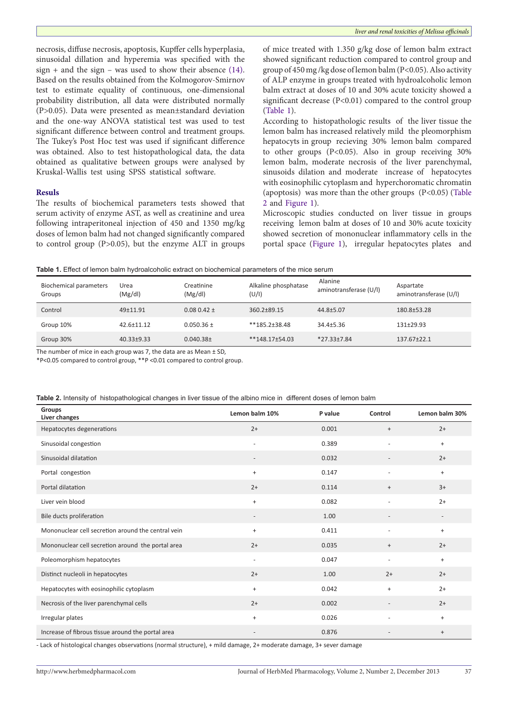necrosis, diffuse necrosis, apoptosis, Kupffer cells hyperplasia, sinusoidal dillation and hyperemia was specified with the  $sign + and the sign - was used to show their absence (14).$  $sign + and the sign - was used to show their absence (14).$  $sign + and the sign - was used to show their absence (14).$ Based on the results obtained from the Kolmogorov-Smirnov test to estimate equality of continuous, one-dimensional probability [distribution,](http://en.wikipedia.org/wiki/Probability_distribution) all data were distributed normally (P>0.05). Data were presented as mean±standard deviation and the one-way ANOVA statistical test was used to test significant difference between control and treatment groups. The Tukey's Post Hoc test was used if significant difference was obtained. Also to test histopathological data, the data obtained as qualitative between groups were analysed by Kruskal-Wallis test using SPSS statistical software.

## **Resuls**

The results of biochemical parameters tests showed that serum activity of enzyme AST, as well as creatinine and urea following intraperitoneal injection of 450 and 1350 mg/kg doses of lemon balm had not changed significantly compared to control group (P>0.05), but the enzyme ALT in groups of mice treated with 1.350 g/kg dose of lemon balm extract showed significant reduction compared to control group and group of 450 mg /kg dose of lemon balm (P<0.05). Also activity of ALP enzyme in groups treated with hydroalcoholic lemon balm extract at doses of 10 and 30% acute toxicity showed a significant decrease (P<0.01) compared to the control group ([Table 1](#page-2-0)).

According to histopathologic results of the liver tissue the lemon balm has increased relatively mild the pleomorphism hepatocyts in group recieving 30% lemon balm compared to other groups (P<0.05). Also in group receiving 30% lemon balm, moderate necrosis of the liver parenchymal, sinusoids dilation and moderate increase of hepatocytes with eosinophilic cytoplasm and hyperchoromatic chromatin (apoptosis) was more than the other groups (P<0.05) [\(Table](#page-2-1)  [2](#page-2-1) and [Figure 1](#page-3-0)).

Microscopic studies conducted on liver tissue in groups receiving lemon balm at doses of 10 and 30% acute toxicity showed secretion of mononuclear inflammatory cells in the portal space [\(Figure 1](#page-3-0)), irregular hepatocytes plates and

<span id="page-2-0"></span>

|  |  |  |  | Table 1. Effect of lemon balm hydroalcoholic extract on biochemical parameters of the mice serum |
|--|--|--|--|--------------------------------------------------------------------------------------------------|
|--|--|--|--|--------------------------------------------------------------------------------------------------|

| <b>Biochemical parameters</b><br>Groups | Urea<br>(Mg/dl)  | Creatinine<br>(Mg/dl) | Alkaline phosphatase<br>(U/I) | Alanine<br>aminotransferase (U/I) | Aspartate<br>aminotransferase (U/I) |
|-----------------------------------------|------------------|-----------------------|-------------------------------|-----------------------------------|-------------------------------------|
| Control                                 | $49+11.91$       | $0.080.42 \pm$        | $360.2 + 89.15$               | $44.8 \pm 5.07$                   | 180.8±53.28                         |
| Group 10%                               | $42.6 \pm 11.12$ | $0.050.36 \pm$        | $**185.2*38.48$               | $34.4 + 5.36$                     | $131+29.93$                         |
| Group 30%                               | $40.33 + 9.33$   | 0.040.38 <sup>±</sup> | $**148.17+54.03$              | $*27.33 \pm 7.84$                 | $137.67 \pm 22.1$                   |

The number of mice in each group was 7, the data are as Mean ± SD,

\*P<0.05 compared to control group, \*\*P <0.01 compared to control group.

<span id="page-2-1"></span>

| Table 2. Intensity of histopathological changes in liver tissue of the albino mice in different doses of lemon balm |  |  |
|---------------------------------------------------------------------------------------------------------------------|--|--|
|---------------------------------------------------------------------------------------------------------------------|--|--|

| <b>Groups</b><br>Liver changes                     | Lemon balm 10%                   | P value | Control                  | Lemon balm 30% |
|----------------------------------------------------|----------------------------------|---------|--------------------------|----------------|
| Hepatocytes degenerations                          | $2+$                             | 0.001   | $^{+}$                   | $2+$           |
| Sinusoidal congestion                              | $\overline{\phantom{a}}$         | 0.389   | $\overline{\phantom{a}}$ | $\ddot{}$      |
| Sinusoidal dilatation                              | $\overline{\phantom{a}}$         | 0.032   |                          | $2+$           |
| Portal congestion                                  | $\ddot{}$                        | 0.147   | $\bar{a}$                | $\ddot{}$      |
| Portal dilatation                                  | $2+$                             | 0.114   | $^{+}$                   | $3+$           |
| Liver vein blood                                   | $\ddot{}$                        | 0.082   | $\overline{a}$           | $2+$           |
| Bile ducts proliferation                           | $\overline{\phantom{a}}$         | 1.00    | $\overline{\phantom{a}}$ |                |
| Mononuclear cell secretion around the central vein | $\ddot{}$                        | 0.411   | $\equiv$                 | $\ddot{}$      |
| Mononuclear cell secretion around the portal area  | $2+$                             | 0.035   | $^{+}$                   | $2+$           |
| Poleomorphism hepatocytes                          | $\equiv$                         | 0.047   | $\overline{\phantom{a}}$ | $\ddot{}$      |
| Distinct nucleoli in hepatocytes                   | $2+$                             | 1.00    | $2+$                     | $2+$           |
| Hepatocytes with eosinophilic cytoplasm            | $\begin{array}{c} + \end{array}$ | 0.042   | $^{+}$                   | $2+$           |
| Necrosis of the liver parenchymal cells            | $2+$                             | 0.002   |                          | $2+$           |
| Irregular plates                                   | $\begin{array}{c} + \end{array}$ | 0.026   | $\bar{a}$                | $\ddot{}$      |
| Increase of fibrous tissue around the portal area  | $\overline{\phantom{a}}$         | 0.876   | $\overline{\phantom{a}}$ | $\ddot{}$      |

- Lack of histological changes observations (normal structure), + mild damage, 2+ moderate damage, 3+ sever damage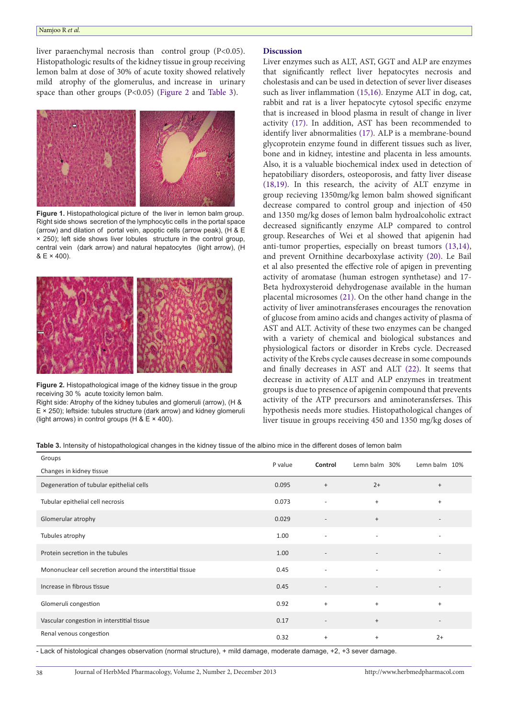#### Namjoo R *et al.*

liver paraenchymal necrosis than control group (P<0.05). Histopathologic results of the kidney tissue in group receiving lemon balm at dose of 30% of acute toxity showed relatively mild atrophy of the glomerulus, and increase in urinary space than other groups (P<0.05) [\(Figure 2](#page-3-1) and [Table 3\).](#page-3-2)

<span id="page-3-0"></span>

**Figure 1.** Histopathological picture of the liver in lemon balm group. Right side shows secretion of the lymphocytic cells in the portal space (arrow) and dilation of portal vein, apoptic cells (arrow peak), (H & E × 250); left side shows liver lobules structure in the control group, central vein (dark arrow) and natural hepatocytes (light arrow), (H  $& E \times 400$ ).

<span id="page-3-1"></span>

**Figure 2.** Histopathological image of the kidney tissue in the group receiving 30 % acute toxicity lemon balm.

Right side: Atrophy of the kidney tubules and glomeruli (arrow), (H & E × 250); leftside: tubules structure (dark arrow) and kidney glomeruli (light arrows) in control groups (H &  $E \times 400$ ).

# **Discussion**

Liver enzymes such as ALT, AST, GGT and ALP are enzymes that significantly reflect liver hepatocytes necrosis and cholestasis and can be used in detection of sever liver diseases such as liver inflammation ([15](#page-5-2),[16](#page-5-3)). Enzyme ALT in dog, cat, rabbit and rat is a liver hepatocyte cytosol specific enzyme that is increased in blood plasma in result of change in liver activity [\(17](#page-5-4)). In addition, AST has been recommended to identify liver abnormalities [\(17](#page-5-4)). ALP is a membrane-bound glycoprotein enzyme found in different tissues such as liver, bone and in kidney, intestine and placenta in less amounts. Also, it is a valuable biochemical index used in detection of hepatobiliary disorders, osteoporosis, and fatty liver disease ([18](#page-5-5),[19](#page-5-6)). In this research, the acivity of ALT enzyme in group recieving 1350mg/kg lemon balm showed significant decrease compared to control group and injection of 450 and 1350 mg/kg doses of lemon balm hydroalcoholic extract decreased significantly enzyme ALP compared to control group. Researches of Wei et al showed that apigenin had anti-tumor properties, especially on breast tumors (13[,14\)](#page-5-1), and prevent Ornithine decarboxylase activity ([20](#page-5-7)). Le Bail et al also presented the effective role of apigen in preventing activity of aromatase (human estrogen synthetase) and 17- Beta hydroxysteroid dehydrogenase available in the human placental microsomes ([21](#page-5-8)). On the other hand change in the activity of liver aminotransferases encourages the renovation of glucose from amino acids and changes activity of plasma of AST and ALT. Activity of these two enzymes can be changed with a variety of chemical and biological substances and physiological factors or disorder in Krebs cycle. Decreased activity of the Krebs cycle causes decrease in some compounds and finally decreases in AST and ALT [\(22](#page-5-9)). It seems that decrease in activity of ALT and ALP enzymes in treatment groups is due to presence of apigenin compound that prevents activity of the ATP precursors and aminoteransferses. This hypothesis needs more studies. Histopathological changes of liver tisuue in groups receiving 450 and 1350 mg/kg doses of

<span id="page-3-2"></span>**Table 3.** Intensity of histopathological changes in the kidney tissue of the albino mice in the different doses of lemon balm

| Groups                                                    | P value | Control                          | Lemn balm 30%                    | Lemn balm 10%            |
|-----------------------------------------------------------|---------|----------------------------------|----------------------------------|--------------------------|
| Changes in kidney tissue                                  |         |                                  |                                  |                          |
| Degeneration of tubular epithelial cells                  | 0.095   | $\begin{array}{c} + \end{array}$ | $2+$                             | $^{+}$                   |
| Tubular epithelial cell necrosis                          | 0.073   | $\overline{\phantom{a}}$         | $\ddot{}$                        | $^{+}$                   |
| Glomerular atrophy                                        | 0.029   | $\overline{\phantom{a}}$         | $^{+}$                           |                          |
| Tubules atrophy                                           | 1.00    | ٠                                | $\overline{\phantom{a}}$         |                          |
| Protein secretion in the tubules                          | 1.00    | $\overline{\phantom{a}}$         | ٠                                |                          |
| Mononuclear cell secretion around the interstitial tissue | 0.45    | $\overline{\phantom{a}}$         | $\overline{\phantom{a}}$         |                          |
| Increase in fibrous tissue                                | 0.45    | $\overline{\phantom{a}}$         | $\overline{\phantom{a}}$         |                          |
| Glomeruli congestion                                      | 0.92    | $\ddot{}$                        | $+$                              | $+$                      |
| Vascular congestion in interstitial tissue                | 0.17    | $\overline{\phantom{a}}$         | $^{+}$                           | $\overline{\phantom{a}}$ |
| Renal venous congestion                                   | 0.32    | $\begin{array}{c} + \end{array}$ | $\begin{array}{c} + \end{array}$ | $2+$                     |

- Lack of histological changes observation (normal structure), + mild damage, moderate damage, +2, +3 sever damage.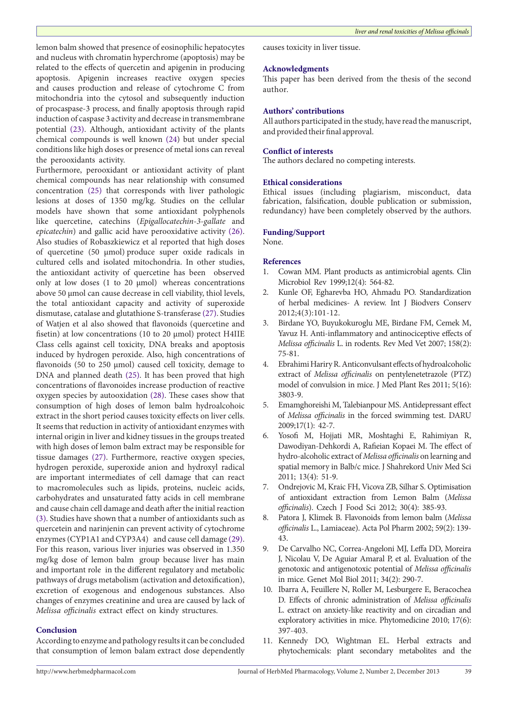lemon balm showed that presence of eosinophilic hepatocytes and nucleus with chromatin hyperchrome (apoptosis) may be related to the effects of quercetin and apigenin in producing apoptosis. Apigenin increases reactive oxygen species and causes production and release of cytochrome C from mitochondria into the cytosol and subsequently induction of procaspase-3 process, and finally apoptosis through rapid induction of caspase 3 activity and decrease in transmembrane potential ([23](#page-5-10)). Although, antioxidant activity of the plants chemical compounds is well known ([24\)](#page-5-11) but under special conditions like high doses or presence of metal ions can reveal the perooxidants activity.

Furthermore, perooxidant or antioxidant activity of plant chemical compounds has near relationship with consumed concentration [\(25\)](#page-5-12) that corresponds with liver pathologic lesions at doses of 1350 mg/kg. Studies on the cellular models have shown that some antioxidant polyphenols like quercetine, catechins (*Epigallocatechin*-*3*-*gallate* and *epicatechin*) and gallic acid have perooxidative activity [\(26](#page-5-13)). Also studies of Robaszkiewicz et al reported that high doses of quercetine (50 µmol) produce super oxide radicals in cultured cells and isolated mitochondria. In other studies, the antioxidant activity of quercetine has been observed only at low doses (1 to 20 µmol) whereas concentrations above 50 µmol can cause decrease in cell viability, thiol levels, the total antioxidant capacity and activity of [superoxide](http://www.google.com/url?sa=t&rct=j&q=&esrc=s&source=web&cd=2&cad=rja&ved=0CDsQFjAB&url=http%3A%2F%2Fwww.ias.ac.in%2Fjarch%2Fjbiosci%2F13%2F305-315.pdf&ei=EtxHUt-eIvan4APgyYGICw&usg=AFQjCNGWRuCWUUy6yKnzl51Xybqyf6VP5Q&bvm=bv.53217764,d.dmg)  [dismutase,](http://www.google.com/url?sa=t&rct=j&q=&esrc=s&source=web&cd=2&cad=rja&ved=0CDsQFjAB&url=http%3A%2F%2Fwww.ias.ac.in%2Fjarch%2Fjbiosci%2F13%2F305-315.pdf&ei=EtxHUt-eIvan4APgyYGICw&usg=AFQjCNGWRuCWUUy6yKnzl51Xybqyf6VP5Q&bvm=bv.53217764,d.dmg) [catalase and glutathione S-transferase](http://www.google.com/url?sa=t&rct=j&q=&esrc=s&source=web&cd=2&cad=rja&ved=0CDYQFjAB&url=http%3A%2F%2Fwww.ncbi.nlm.nih.gov%2Fpubmed%2F21807119&ei=cdxHUvUGsbLgA-zLgIgJ&usg=AFQjCNFY7uRJshigolrGvaBjufoyZ72D7Q&bvm=bv.53217764,d.dmg) ([27](#page-5-14)). Studies of Watjen et al also showed that flavonoids (quercetine and fisetin) at low concentrations (10 to 20 µmol) protect H4IIE Class cells against cell toxicity, DNA breaks and apoptosis induced by hydrogen peroxide. Also, high concentrations of flavonoids (50 to 250 µmol) caused cell toxicity, demage to DNA and planned death ([25](#page-5-12)). It has been proved that high concentrations of flavonoides increase production of reactive oxygen species by autooxidation ([28](#page-5-15)). These cases show that consumption of high doses of lemon balm hydroalcohoic extract in the short period causes toxicity effects on liver cells. It seems that reduction in activity of antioxidant enzymes with internal origin in liver and kidney tissues in the groups treated with high doses of lemon balm extract may be responsible for tissue damages [\(27\)](#page-5-14). Furthermore, reactive oxygen species, hydrogen peroxide, superoxide anion and hydroxyl radical are important intermediates of cell damage that can react to macromolecules such as lipids, proteins, nucleic acids, carbohydrates and unsaturated fatty acids in cell membrane and cause chain cell damage and death after the initial reaction ([3\)](#page-4-2). Studies have shown that a number of antioxidants such as quercetein and narinjenin can prevent activity of cytochrome enzymes (CYP1A1 and CYP3A4) and cause cell damage [\(29](#page-5-16)). For this reason, various liver injuries was observed in 1.350 mg/kg dose of lemon balm group because liver has main and important role in the different regulatory and metabolic pathways of drugs metabolism (activation and detoxification), excretion of exogenous and endogenous substances. Also changes of enzymes creatinine and urea are caused by lack of *Melissa officinalis* extract effect on kindy structures.

# **Conclusion**

According to enzyme and pathology results it can be concluded that consumption of lemon balam extract dose dependently causes toxicity in liver tissue.

#### **Acknowledgments**

This paper has been derived from the thesis of the second author.

# **Authors' contributions**

All authors participated in the study, have read the manuscript, and provided their final approval.

# **Conflict of interests**

The authors declared no competing interests.

# **Ethical considerations**

Ethical issues (including plagiarism, misconduct, data fabrication, falsification, double publication or submission, redundancy) have been completely observed by the authors.

# **Funding/Support**

None.

#### **References**

- <span id="page-4-0"></span>1. Cowan MM. Plant products as antimicrobial agents. Clin Microbiol Rev 1999;12(4): 564-82.
- <span id="page-4-1"></span>2. Kunle OF, Egharevba HO, Ahmadu PO. Standardization of herbal medicines- A review. Int J Biodvers Conserv 2012;4(3):101-12.
- <span id="page-4-2"></span>3. Birdane YO, Buyukokuroglu ME, Birdane FM, Cemek M, Yavuz H. Anti-inflammatory and antinociceptive effects of *Melissa officinalis* L. in rodents. Rev Med Vet 2007; 158(2): 75-81.
- <span id="page-4-3"></span>4. Ebrahimi Hariry R. Anticonvulsant effects of hydroalcoholic extract of *Melissa officinalis* on pentylenetetrazole (PTZ) model of convulsion in mice. J Med Plant Res 2011; 5(16): 3803-9.
- <span id="page-4-4"></span>5. Emamghoreishi M, Talebianpour MS. Antidepressant effect of *Melissa officinalis* in the forced swimming test. DARU 2009;17(1): 42-7.
- <span id="page-4-5"></span>6. Yosofi M, Hojjati MR, Moshtaghi E, Rahimiyan R, Dawodiyan-Dehkordi A, Rafieian Kopaei M. The effect of hydro-alcoholic extract of *Melissa officinalis* on learning and spatial memory in Balb/c mice. J Shahrekord Univ Med Sci 2011; 13(4): 51-9.
- <span id="page-4-6"></span>7. Ondrejovic M, Kraic FH, Vicova ZB, Silhar S. Optimisation of antioxidant extraction from Lemon Balm (*Melissa officinalis*). Czech J Food Sci 2012; 30(4): 385-93.
- <span id="page-4-7"></span>8. Patora J, Klimek B. Flavonoids from lemon balm (*Melissa officinalis* L., Lamiaceae). Acta Pol Pharm 2002; 59(2): 139- 43.
- <span id="page-4-8"></span>9. De Carvalho NC, Correa-Angeloni MJ, Leffa DD, Moreira J, Nicolau V, De Aguiar Amaral P, et al. Evaluation of the genotoxic and antigenotoxic potential of *Melissa officinalis* in mice. Genet Mol Biol 2011; 34(2): 290-7.
- <span id="page-4-9"></span>10. Ibarra A, Feuillere N, Roller M, Lesburgere E, Beracochea D. Effects of chronic administration of *Melissa officinalis* L. extract on anxiety-like reactivity and on circadian and exploratory activities in mice. Phytomedicine 2010; 17(6): 397-403.
- <span id="page-4-10"></span>11. Kennedy DO, Wightman EL. Herbal extracts and phytochemicals: plant secondary metabolites and the